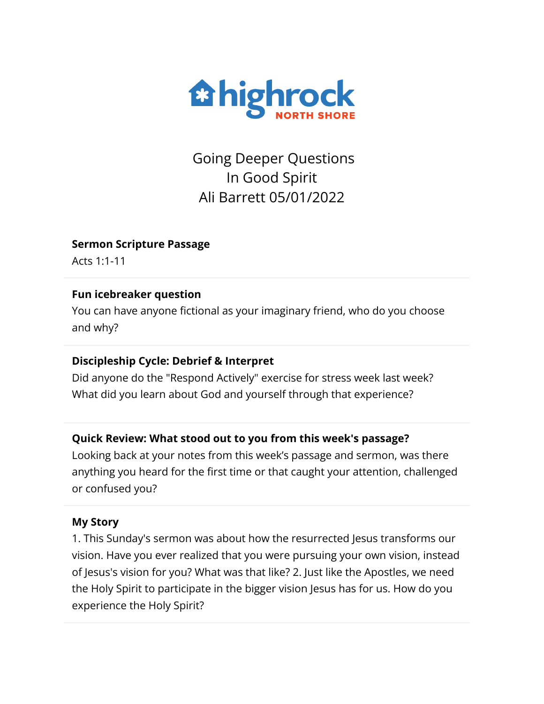

Going Deeper Questions In Good Spirit Ali Barrett 05/01/2022

### **Sermon Scripture Passage**

Acts 1:1-11

### **Fun icebreaker question**

You can have anyone fictional as your imaginary friend, who do you choose and why?

### **Discipleship Cycle: Debrief & Interpret**

Did anyone do the "Respond Actively" exercise for stress week last week? What did you learn about God and yourself through that experience?

# **Quick Review: What stood out to you from this week's passage?**

Looking back at your notes from this week's passage and sermon, was there anything you heard for the first time or that caught your attention, challenged or confused you?

### **My Story**

1. This Sunday's sermon was about how the resurrected Jesus transforms our vision. Have you ever realized that you were pursuing your own vision, instead of Jesus's vision for you? What was that like? 2. Just like the Apostles, we need the Holy Spirit to participate in the bigger vision Jesus has for us. How do you experience the Holy Spirit?